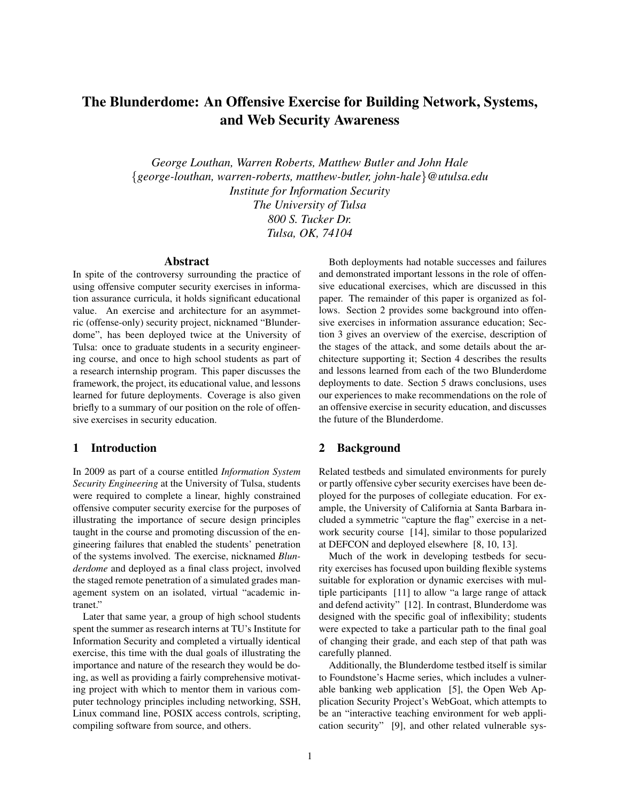# The Blunderdome: An Offensive Exercise for Building Network, Systems, and Web Security Awareness

*George Louthan, Warren Roberts, Matthew Butler and John Hale* {*george-louthan, warren-roberts, matthew-butler, john-hale*}*@utulsa.edu Institute for Information Security The University of Tulsa 800 S. Tucker Dr. Tulsa, OK, 74104*

#### Abstract

In spite of the controversy surrounding the practice of using offensive computer security exercises in information assurance curricula, it holds significant educational value. An exercise and architecture for an asymmetric (offense-only) security project, nicknamed "Blunderdome", has been deployed twice at the University of Tulsa: once to graduate students in a security engineering course, and once to high school students as part of a research internship program. This paper discusses the framework, the project, its educational value, and lessons learned for future deployments. Coverage is also given briefly to a summary of our position on the role of offensive exercises in security education.

### 1 Introduction

In 2009 as part of a course entitled *Information System Security Engineering* at the University of Tulsa, students were required to complete a linear, highly constrained offensive computer security exercise for the purposes of illustrating the importance of secure design principles taught in the course and promoting discussion of the engineering failures that enabled the students' penetration of the systems involved. The exercise, nicknamed *Blunderdome* and deployed as a final class project, involved the staged remote penetration of a simulated grades management system on an isolated, virtual "academic intranet."

Later that same year, a group of high school students spent the summer as research interns at TU's Institute for Information Security and completed a virtually identical exercise, this time with the dual goals of illustrating the importance and nature of the research they would be doing, as well as providing a fairly comprehensive motivating project with which to mentor them in various computer technology principles including networking, SSH, Linux command line, POSIX access controls, scripting, compiling software from source, and others.

Both deployments had notable successes and failures and demonstrated important lessons in the role of offensive educational exercises, which are discussed in this paper. The remainder of this paper is organized as follows. Section 2 provides some background into offensive exercises in information assurance education; Section 3 gives an overview of the exercise, description of the stages of the attack, and some details about the architecture supporting it; Section 4 describes the results and lessons learned from each of the two Blunderdome deployments to date. Section 5 draws conclusions, uses our experiences to make recommendations on the role of an offensive exercise in security education, and discusses the future of the Blunderdome.

### 2 Background

Related testbeds and simulated environments for purely or partly offensive cyber security exercises have been deployed for the purposes of collegiate education. For example, the University of California at Santa Barbara included a symmetric "capture the flag" exercise in a network security course [14], similar to those popularized at DEFCON and deployed elsewhere [8, 10, 13].

Much of the work in developing testbeds for security exercises has focused upon building flexible systems suitable for exploration or dynamic exercises with multiple participants [11] to allow "a large range of attack and defend activity" [12]. In contrast, Blunderdome was designed with the specific goal of inflexibility; students were expected to take a particular path to the final goal of changing their grade, and each step of that path was carefully planned.

Additionally, the Blunderdome testbed itself is similar to Foundstone's Hacme series, which includes a vulnerable banking web application [5], the Open Web Application Security Project's WebGoat, which attempts to be an "interactive teaching environment for web application security" [9], and other related vulnerable sys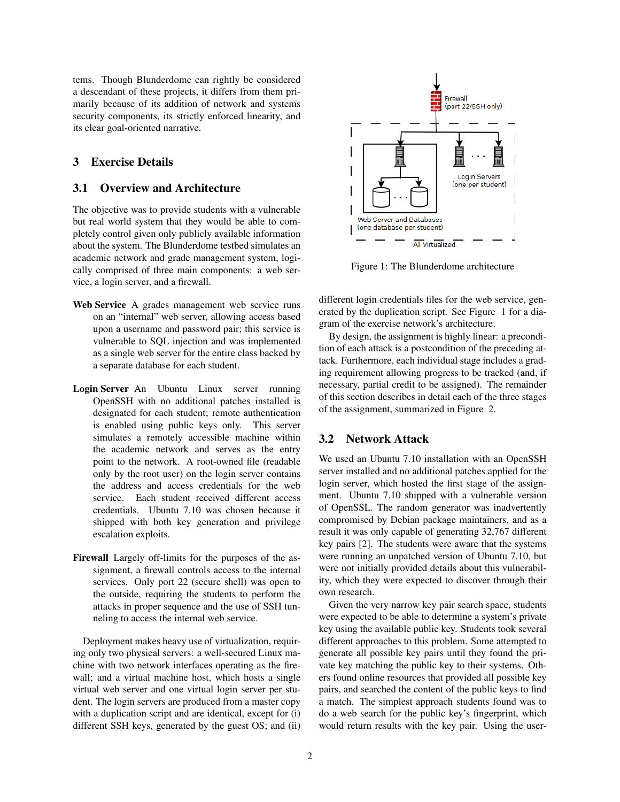tems. Though Blunderdome can rightly be considered a descendant of these projects, it differs from them primarily because of its addition of network and systems security components, its strictly enforced linearity, and its clear goal-oriented narrative.

## 3 Exercise Details

## 3.1 Overview and Architecture

The objective was to provide students with a vulnerable but real world system that they would be able to completely control given only publicly available information about the system. The Blunderdome testbed simulates an academic network and grade management system, logically comprised of three main components: a web service, a login server, and a firewall.

- Web Service A grades management web service runs on an "internal" web server, allowing access based upon a username and password pair; this service is vulnerable to SQL injection and was implemented as a single web server for the entire class backed by a separate database for each student.
- Login Server An Ubuntu Linux server running OpenSSH with no additional patches installed is designated for each student; remote authentication is enabled using public keys only. This server simulates a remotely accessible machine within the academic network and serves as the entry point to the network. A root-owned file (readable only by the root user) on the login server contains the address and access credentials for the web service. Each student received different access credentials. Ubuntu 7.10 was chosen because it shipped with both key generation and privilege escalation exploits.
- Firewall Largely off-limits for the purposes of the assignment, a firewall controls access to the internal services. Only port 22 (secure shell) was open to the outside, requiring the students to perform the attacks in proper sequence and the use of SSH tunneling to access the internal web service.

Deployment makes heavy use of virtualization, requiring only two physical servers: a well-secured Linux machine with two network interfaces operating as the firewall; and a virtual machine host, which hosts a single virtual web server and one virtual login server per student. The login servers are produced from a master copy with a duplication script and are identical, except for (i) different SSH keys, generated by the guest OS; and (ii)



Figure 1: The Blunderdome architecture

different login credentials files for the web service, generated by the duplication script. See Figure 1 for a diagram of the exercise network's architecture.

By design, the assignment is highly linear: a precondition of each attack is a postcondition of the preceding attack. Furthermore, each individual stage includes a grading requirement allowing progress to be tracked (and, if necessary, partial credit to be assigned). The remainder of this section describes in detail each of the three stages of the assignment, summarized in Figure 2.

# 3.2 Network Attack

We used an Ubuntu 7.10 installation with an OpenSSH server installed and no additional patches applied for the login server, which hosted the first stage of the assignment. Ubuntu 7.10 shipped with a vulnerable version of OpenSSL. The random generator was inadvertently compromised by Debian package maintainers, and as a result it was only capable of generating 32,767 different key pairs [2]. The students were aware that the systems were running an unpatched version of Ubuntu 7.10, but were not initially provided details about this vulnerability, which they were expected to discover through their own research.

Given the very narrow key pair search space, students were expected to be able to determine a system's private key using the available public key. Students took several different approaches to this problem. Some attempted to generate all possible key pairs until they found the private key matching the public key to their systems. Others found online resources that provided all possible key pairs, and searched the content of the public keys to find a match. The simplest approach students found was to do a web search for the public key's fingerprint, which would return results with the key pair. Using the user-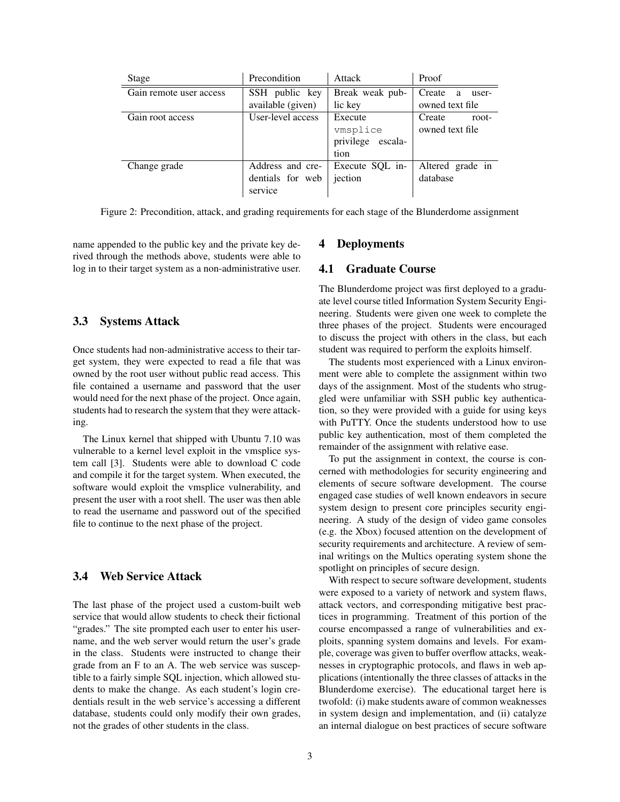| Stage                   | Precondition      | Attack            | Proof                                   |
|-------------------------|-------------------|-------------------|-----------------------------------------|
| Gain remote user access | SSH public key    | Break weak pub-   | Create<br>a<br>user-<br>owned text file |
|                         | available (given) | lic key           |                                         |
| Gain root access        | User-level access | Execute           | Create<br>root-                         |
|                         |                   | vmsplice          | owned text file                         |
|                         |                   | privilege escala- |                                         |
|                         |                   | tion              |                                         |
| Change grade            | Address and cre-  | Execute SQL in-   | Altered grade in                        |
|                         | dentials for web  | jection           | database                                |
|                         | service           |                   |                                         |

Figure 2: Precondition, attack, and grading requirements for each stage of the Blunderdome assignment

name appended to the public key and the private key derived through the methods above, students were able to log in to their target system as a non-administrative user.

## 3.3 Systems Attack

Once students had non-administrative access to their target system, they were expected to read a file that was owned by the root user without public read access. This file contained a username and password that the user would need for the next phase of the project. Once again, students had to research the system that they were attacking.

The Linux kernel that shipped with Ubuntu 7.10 was vulnerable to a kernel level exploit in the vmsplice system call [3]. Students were able to download C code and compile it for the target system. When executed, the software would exploit the vmsplice vulnerability, and present the user with a root shell. The user was then able to read the username and password out of the specified file to continue to the next phase of the project.

# 3.4 Web Service Attack

The last phase of the project used a custom-built web service that would allow students to check their fictional "grades." The site prompted each user to enter his username, and the web server would return the user's grade in the class. Students were instructed to change their grade from an F to an A. The web service was susceptible to a fairly simple SQL injection, which allowed students to make the change. As each student's login credentials result in the web service's accessing a different database, students could only modify their own grades, not the grades of other students in the class.

#### 4 Deployments

#### 4.1 Graduate Course

The Blunderdome project was first deployed to a graduate level course titled Information System Security Engineering. Students were given one week to complete the three phases of the project. Students were encouraged to discuss the project with others in the class, but each student was required to perform the exploits himself.

The students most experienced with a Linux environment were able to complete the assignment within two days of the assignment. Most of the students who struggled were unfamiliar with SSH public key authentication, so they were provided with a guide for using keys with PuTTY. Once the students understood how to use public key authentication, most of them completed the remainder of the assignment with relative ease.

To put the assignment in context, the course is concerned with methodologies for security engineering and elements of secure software development. The course engaged case studies of well known endeavors in secure system design to present core principles security engineering. A study of the design of video game consoles (e.g. the Xbox) focused attention on the development of security requirements and architecture. A review of seminal writings on the Multics operating system shone the spotlight on principles of secure design.

With respect to secure software development, students were exposed to a variety of network and system flaws, attack vectors, and corresponding mitigative best practices in programming. Treatment of this portion of the course encompassed a range of vulnerabilities and exploits, spanning system domains and levels. For example, coverage was given to buffer overflow attacks, weaknesses in cryptographic protocols, and flaws in web applications (intentionally the three classes of attacks in the Blunderdome exercise). The educational target here is twofold: (i) make students aware of common weaknesses in system design and implementation, and (ii) catalyze an internal dialogue on best practices of secure software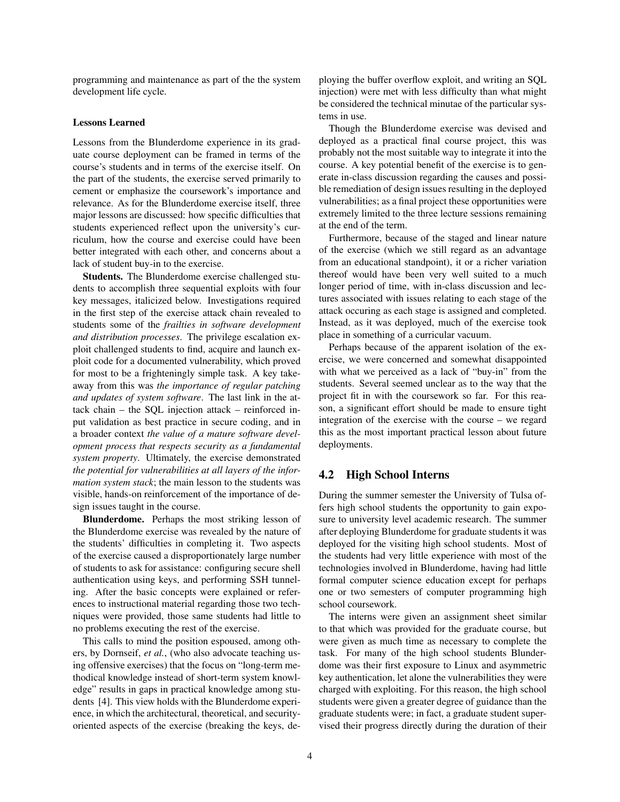programming and maintenance as part of the the system development life cycle.

#### Lessons Learned

Lessons from the Blunderdome experience in its graduate course deployment can be framed in terms of the course's students and in terms of the exercise itself. On the part of the students, the exercise served primarily to cement or emphasize the coursework's importance and relevance. As for the Blunderdome exercise itself, three major lessons are discussed: how specific difficulties that students experienced reflect upon the university's curriculum, how the course and exercise could have been better integrated with each other, and concerns about a lack of student buy-in to the exercise.

Students. The Blunderdome exercise challenged students to accomplish three sequential exploits with four key messages, italicized below. Investigations required in the first step of the exercise attack chain revealed to students some of the *frailties in software development and distribution processes*. The privilege escalation exploit challenged students to find, acquire and launch exploit code for a documented vulnerability, which proved for most to be a frighteningly simple task. A key takeaway from this was *the importance of regular patching and updates of system software*. The last link in the attack chain – the SQL injection attack – reinforced input validation as best practice in secure coding, and in a broader context *the value of a mature software development process that respects security as a fundamental system property*. Ultimately, the exercise demonstrated *the potential for vulnerabilities at all layers of the information system stack*; the main lesson to the students was visible, hands-on reinforcement of the importance of design issues taught in the course.

Blunderdome. Perhaps the most striking lesson of the Blunderdome exercise was revealed by the nature of the students' difficulties in completing it. Two aspects of the exercise caused a disproportionately large number of students to ask for assistance: configuring secure shell authentication using keys, and performing SSH tunneling. After the basic concepts were explained or references to instructional material regarding those two techniques were provided, those same students had little to no problems executing the rest of the exercise.

This calls to mind the position espoused, among others, by Dornseif, *et al.*, (who also advocate teaching using offensive exercises) that the focus on "long-term methodical knowledge instead of short-term system knowledge" results in gaps in practical knowledge among students [4]. This view holds with the Blunderdome experience, in which the architectural, theoretical, and securityoriented aspects of the exercise (breaking the keys, deploying the buffer overflow exploit, and writing an SQL injection) were met with less difficulty than what might be considered the technical minutae of the particular systems in use.

Though the Blunderdome exercise was devised and deployed as a practical final course project, this was probably not the most suitable way to integrate it into the course. A key potential benefit of the exercise is to generate in-class discussion regarding the causes and possible remediation of design issues resulting in the deployed vulnerabilities; as a final project these opportunities were extremely limited to the three lecture sessions remaining at the end of the term.

Furthermore, because of the staged and linear nature of the exercise (which we still regard as an advantage from an educational standpoint), it or a richer variation thereof would have been very well suited to a much longer period of time, with in-class discussion and lectures associated with issues relating to each stage of the attack occuring as each stage is assigned and completed. Instead, as it was deployed, much of the exercise took place in something of a curricular vacuum.

Perhaps because of the apparent isolation of the exercise, we were concerned and somewhat disappointed with what we perceived as a lack of "buy-in" from the students. Several seemed unclear as to the way that the project fit in with the coursework so far. For this reason, a significant effort should be made to ensure tight integration of the exercise with the course – we regard this as the most important practical lesson about future deployments.

## 4.2 High School Interns

During the summer semester the University of Tulsa offers high school students the opportunity to gain exposure to university level academic research. The summer after deploying Blunderdome for graduate students it was deployed for the visiting high school students. Most of the students had very little experience with most of the technologies involved in Blunderdome, having had little formal computer science education except for perhaps one or two semesters of computer programming high school coursework.

The interns were given an assignment sheet similar to that which was provided for the graduate course, but were given as much time as necessary to complete the task. For many of the high school students Blunderdome was their first exposure to Linux and asymmetric key authentication, let alone the vulnerabilities they were charged with exploiting. For this reason, the high school students were given a greater degree of guidance than the graduate students were; in fact, a graduate student supervised their progress directly during the duration of their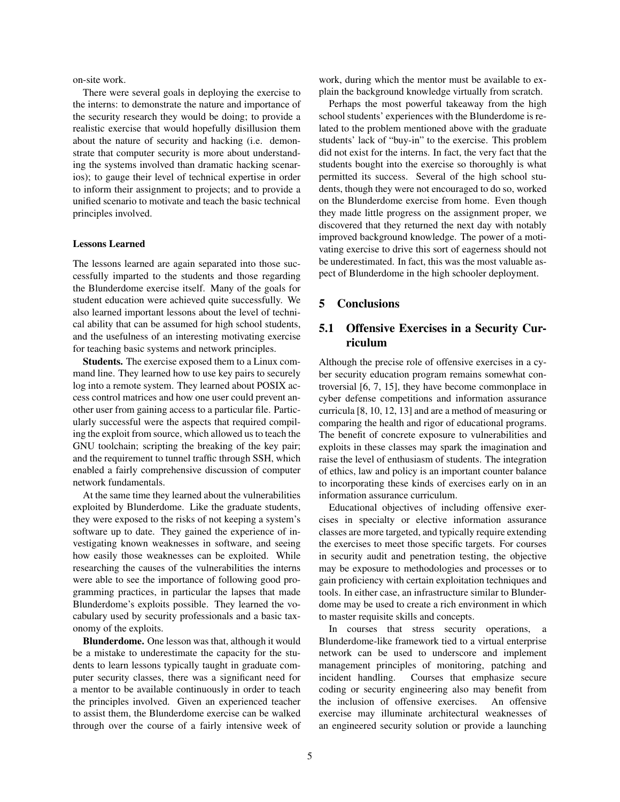on-site work.

There were several goals in deploying the exercise to the interns: to demonstrate the nature and importance of the security research they would be doing; to provide a realistic exercise that would hopefully disillusion them about the nature of security and hacking (i.e. demonstrate that computer security is more about understanding the systems involved than dramatic hacking scenarios); to gauge their level of technical expertise in order to inform their assignment to projects; and to provide a unified scenario to motivate and teach the basic technical principles involved.

#### Lessons Learned

The lessons learned are again separated into those successfully imparted to the students and those regarding the Blunderdome exercise itself. Many of the goals for student education were achieved quite successfully. We also learned important lessons about the level of technical ability that can be assumed for high school students, and the usefulness of an interesting motivating exercise for teaching basic systems and network principles.

Students. The exercise exposed them to a Linux command line. They learned how to use key pairs to securely log into a remote system. They learned about POSIX access control matrices and how one user could prevent another user from gaining access to a particular file. Particularly successful were the aspects that required compiling the exploit from source, which allowed us to teach the GNU toolchain; scripting the breaking of the key pair; and the requirement to tunnel traffic through SSH, which enabled a fairly comprehensive discussion of computer network fundamentals.

At the same time they learned about the vulnerabilities exploited by Blunderdome. Like the graduate students, they were exposed to the risks of not keeping a system's software up to date. They gained the experience of investigating known weaknesses in software, and seeing how easily those weaknesses can be exploited. While researching the causes of the vulnerabilities the interns were able to see the importance of following good programming practices, in particular the lapses that made Blunderdome's exploits possible. They learned the vocabulary used by security professionals and a basic taxonomy of the exploits.

Blunderdome. One lesson was that, although it would be a mistake to underestimate the capacity for the students to learn lessons typically taught in graduate computer security classes, there was a significant need for a mentor to be available continuously in order to teach the principles involved. Given an experienced teacher to assist them, the Blunderdome exercise can be walked through over the course of a fairly intensive week of work, during which the mentor must be available to explain the background knowledge virtually from scratch.

Perhaps the most powerful takeaway from the high school students' experiences with the Blunderdome is related to the problem mentioned above with the graduate students' lack of "buy-in" to the exercise. This problem did not exist for the interns. In fact, the very fact that the students bought into the exercise so thoroughly is what permitted its success. Several of the high school students, though they were not encouraged to do so, worked on the Blunderdome exercise from home. Even though they made little progress on the assignment proper, we discovered that they returned the next day with notably improved background knowledge. The power of a motivating exercise to drive this sort of eagerness should not be underestimated. In fact, this was the most valuable aspect of Blunderdome in the high schooler deployment.

## 5 Conclusions

# 5.1 Offensive Exercises in a Security Curriculum

Although the precise role of offensive exercises in a cyber security education program remains somewhat controversial [6, 7, 15], they have become commonplace in cyber defense competitions and information assurance curricula [8, 10, 12, 13] and are a method of measuring or comparing the health and rigor of educational programs. The benefit of concrete exposure to vulnerabilities and exploits in these classes may spark the imagination and raise the level of enthusiasm of students. The integration of ethics, law and policy is an important counter balance to incorporating these kinds of exercises early on in an information assurance curriculum.

Educational objectives of including offensive exercises in specialty or elective information assurance classes are more targeted, and typically require extending the exercises to meet those specific targets. For courses in security audit and penetration testing, the objective may be exposure to methodologies and processes or to gain proficiency with certain exploitation techniques and tools. In either case, an infrastructure similar to Blunderdome may be used to create a rich environment in which to master requisite skills and concepts.

In courses that stress security operations, a Blunderdome-like framework tied to a virtual enterprise network can be used to underscore and implement management principles of monitoring, patching and incident handling. Courses that emphasize secure coding or security engineering also may benefit from the inclusion of offensive exercises. An offensive exercise may illuminate architectural weaknesses of an engineered security solution or provide a launching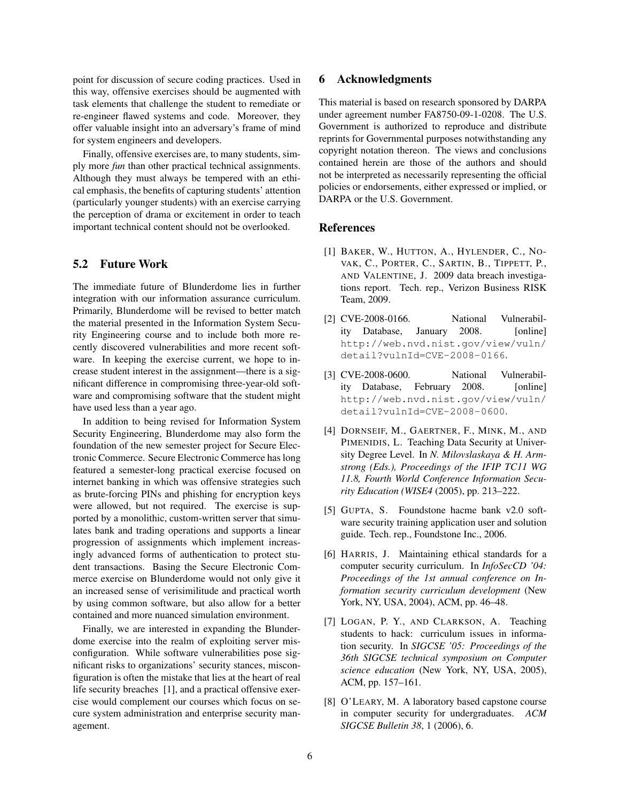point for discussion of secure coding practices. Used in this way, offensive exercises should be augmented with task elements that challenge the student to remediate or re-engineer flawed systems and code. Moreover, they offer valuable insight into an adversary's frame of mind for system engineers and developers.

Finally, offensive exercises are, to many students, simply more *fun* than other practical technical assignments. Although they must always be tempered with an ethical emphasis, the benefits of capturing students' attention (particularly younger students) with an exercise carrying the perception of drama or excitement in order to teach important technical content should not be overlooked.

# 5.2 Future Work

The immediate future of Blunderdome lies in further integration with our information assurance curriculum. Primarily, Blunderdome will be revised to better match the material presented in the Information System Security Engineering course and to include both more recently discovered vulnerabilities and more recent software. In keeping the exercise current, we hope to increase student interest in the assignment—there is a significant difference in compromising three-year-old software and compromising software that the student might have used less than a year ago.

In addition to being revised for Information System Security Engineering, Blunderdome may also form the foundation of the new semester project for Secure Electronic Commerce. Secure Electronic Commerce has long featured a semester-long practical exercise focused on internet banking in which was offensive strategies such as brute-forcing PINs and phishing for encryption keys were allowed, but not required. The exercise is supported by a monolithic, custom-written server that simulates bank and trading operations and supports a linear progression of assignments which implement increasingly advanced forms of authentication to protect student transactions. Basing the Secure Electronic Commerce exercise on Blunderdome would not only give it an increased sense of verisimilitude and practical worth by using common software, but also allow for a better contained and more nuanced simulation environment.

Finally, we are interested in expanding the Blunderdome exercise into the realm of exploiting server misconfiguration. While software vulnerabilities pose significant risks to organizations' security stances, misconfiguration is often the mistake that lies at the heart of real life security breaches [1], and a practical offensive exercise would complement our courses which focus on secure system administration and enterprise security management.

# 6 Acknowledgments

This material is based on research sponsored by DARPA under agreement number FA8750-09-1-0208. The U.S. Government is authorized to reproduce and distribute reprints for Governmental purposes notwithstanding any copyright notation thereon. The views and conclusions contained herein are those of the authors and should not be interpreted as necessarily representing the official policies or endorsements, either expressed or implied, or DARPA or the U.S. Government.

## References

- [1] BAKER, W., HUTTON, A., HYLENDER, C., NO-VAK, C., PORTER, C., SARTIN, B., TIPPETT, P., AND VALENTINE, J. 2009 data breach investigations report. Tech. rep., Verizon Business RISK Team, 2009.
- [2] CVE-2008-0166. National Vulnerability Database, January 2008. [online] http://web.nvd.nist.gov/view/vuln/ detail?vulnId=CVE-2008-0166.
- [3] CVE-2008-0600. National Vulnerability Database, February 2008. [online] http://web.nvd.nist.gov/view/vuln/ detail?vulnId=CVE-2008-0600.
- [4] DORNSEIF, M., GAERTNER, F., MINK, M., AND PIMENIDIS, L. Teaching Data Security at University Degree Level. In *N. Milovslaskaya & H. Armstrong (Eds.), Proceedings of the IFIP TC11 WG 11.8, Fourth World Conference Information Security Education (WISE4* (2005), pp. 213–222.
- [5] GUPTA, S. Foundstone hacme bank v2.0 software security training application user and solution guide. Tech. rep., Foundstone Inc., 2006.
- [6] HARRIS, J. Maintaining ethical standards for a computer security curriculum. In *InfoSecCD '04: Proceedings of the 1st annual conference on Information security curriculum development* (New York, NY, USA, 2004), ACM, pp. 46–48.
- [7] LOGAN, P. Y., AND CLARKSON, A. Teaching students to hack: curriculum issues in information security. In *SIGCSE '05: Proceedings of the 36th SIGCSE technical symposium on Computer science education* (New York, NY, USA, 2005), ACM, pp. 157–161.
- [8] O'LEARY, M. A laboratory based capstone course in computer security for undergraduates. *ACM SIGCSE Bulletin 38*, 1 (2006), 6.